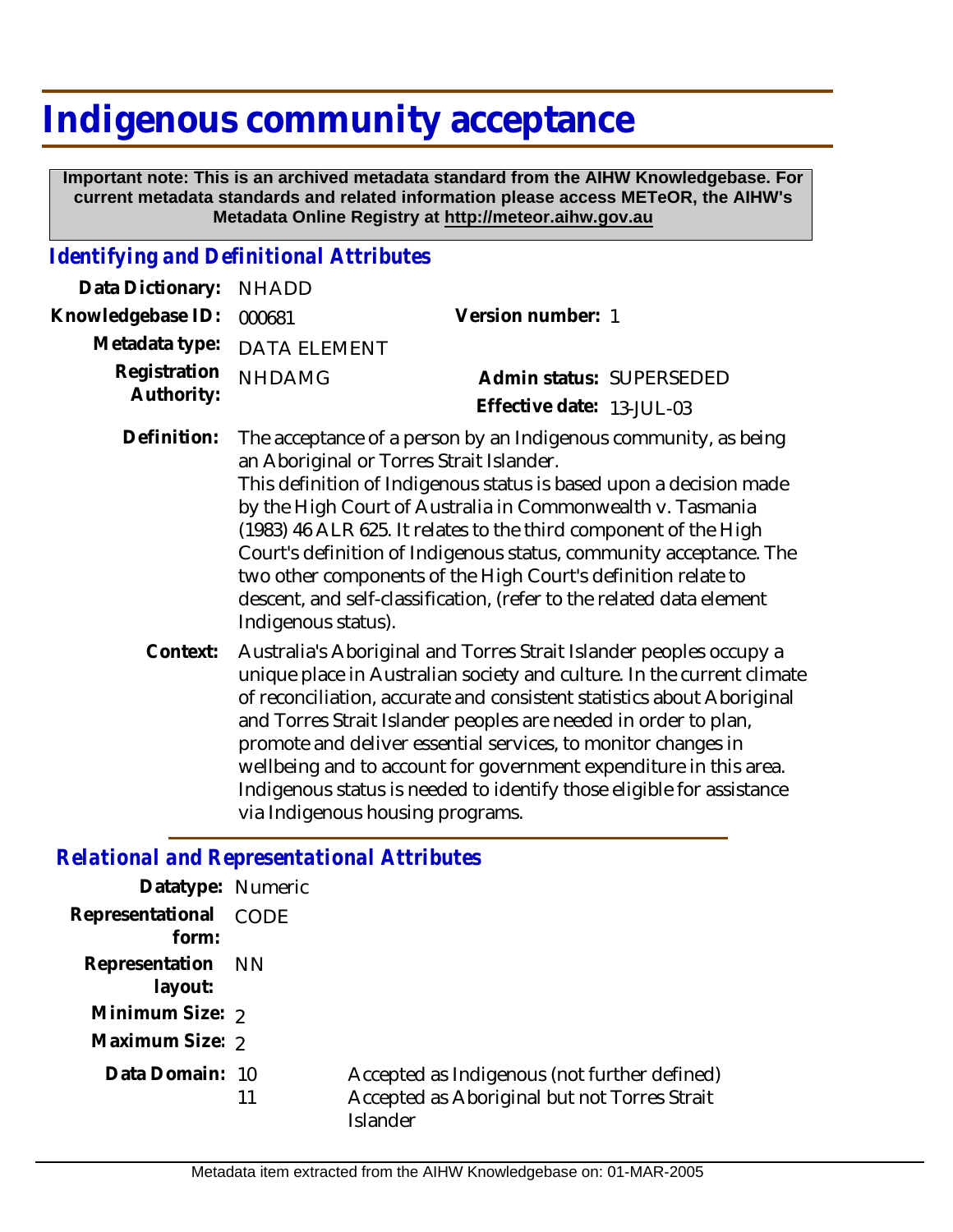## **Indigenous community acceptance**

 **Important note: This is an archived metadata standard from the AIHW Knowledgebase. For current metadata standards and related information please access METeOR, the AIHW's Metadata Online Registry at http://meteor.aihw.gov.au**

## *Identifying and Definitional Attributes*

| Data Dictionary:           | <b>NHADD</b>                                                                                                                                                                                                                                                                                                                                                                                                                                                                                                                                              |                           |
|----------------------------|-----------------------------------------------------------------------------------------------------------------------------------------------------------------------------------------------------------------------------------------------------------------------------------------------------------------------------------------------------------------------------------------------------------------------------------------------------------------------------------------------------------------------------------------------------------|---------------------------|
| Knowledgebase ID:          | 000681                                                                                                                                                                                                                                                                                                                                                                                                                                                                                                                                                    | Version number: 1         |
| Metadata type:             | <b>DATA ELEMENT</b>                                                                                                                                                                                                                                                                                                                                                                                                                                                                                                                                       |                           |
| Registration<br>Authority: | <b>NHDAMG</b>                                                                                                                                                                                                                                                                                                                                                                                                                                                                                                                                             | Admin status: SUPERSEDED  |
|                            |                                                                                                                                                                                                                                                                                                                                                                                                                                                                                                                                                           | Effective date: 13-JUL-03 |
| Definition:                | The acceptance of a person by an Indigenous community, as being<br>an Aboriginal or Torres Strait Islander.<br>This definition of Indigenous status is based upon a decision made<br>by the High Court of Australia in Commonwealth v. Tasmania<br>(1983) 46 ALR 625. It relates to the third component of the High<br>Court's definition of Indigenous status, community acceptance. The<br>two other components of the High Court's definition relate to<br>descent, and self-classification, (refer to the related data element<br>Indigenous status). |                           |

Australia's Aboriginal and Torres Strait Islander peoples occupy a unique place in Australian society and culture. In the current climate of reconciliation, accurate and consistent statistics about Aboriginal and Torres Strait Islander peoples are needed in order to plan, promote and deliver essential services, to monitor changes in wellbeing and to account for government expenditure in this area. Indigenous status is needed to identify those eligible for assistance via Indigenous housing programs. **Context:**

## *Relational and Representational Attributes*

| Datatype: Numeric              |    |                                                                                                          |
|--------------------------------|----|----------------------------------------------------------------------------------------------------------|
| Representational CODE<br>form: |    |                                                                                                          |
| Representation NN<br>layout:   |    |                                                                                                          |
| Minimum Size: 2                |    |                                                                                                          |
| Maximum Size: 2                |    |                                                                                                          |
| Data Domain: 10                | 11 | Accepted as Indigenous (not further defined)<br>Accepted as Aboriginal but not Torres Strait<br>Islander |